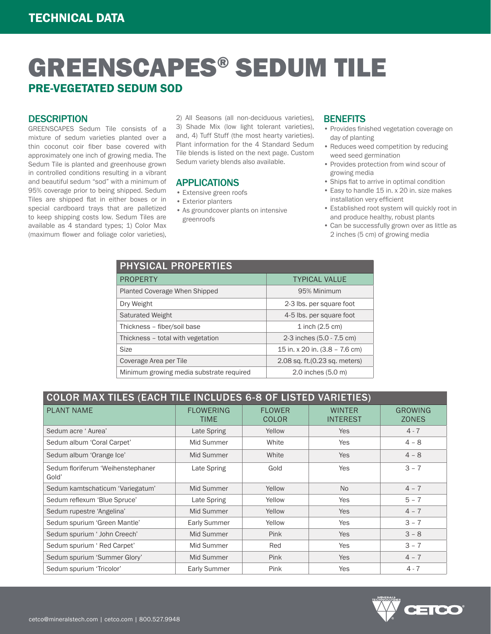# GREENSCAPES® SEDUM TILE PRE-VEGETATED SEDUM SOD

#### **DESCRIPTION**

GREENSCAPES Sedum Tile consists of a mixture of sedum varieties planted over a thin coconut coir fiber base covered with approximately one inch of growing media. The Sedum Tile is planted and greenhouse grown in controlled conditions resulting in a vibrant and beautiful sedum "sod" with a minimum of 95% coverage prior to being shipped. Sedum Tiles are shipped flat in either boxes or in special cardboard trays that are palletized to keep shipping costs low. Sedum Tiles are available as 4 standard types; 1) Color Max (maximum flower and foliage color varieties),

2) All Seasons (all non-deciduous varieties), 3) Shade Mix (low light tolerant varieties), and, 4) Tuff Stuff (the most hearty varieties). Plant information for the 4 Standard Sedum Tile blends is listed on the next page. Custom Sedum variety blends also available.

### APPLICATIONS

- Extensive green roofs
- Exterior planters
- As groundcover plants on intensive greenroofs

#### **BENEFITS**

- Provides finished vegetation coverage on day of planting
- Reduces weed competition by reducing weed seed germination
- Provides protection from wind scour of growing media
- Ships flat to arrive in optimal condition
- Easy to handle 15 in. x 20 in. size makes installation very efficient
- Established root system will quickly root in and produce healthy, robust plants
- Can be successfully grown over as little as 2 inches (5 cm) of growing media

| <b>PHYSICAL PROPERTIES</b>               |                                |  |  |  |
|------------------------------------------|--------------------------------|--|--|--|
| <b>PROPERTY</b>                          | <b>TYPICAL VALUE</b>           |  |  |  |
| Planted Coverage When Shipped            | 95% Minimum                    |  |  |  |
| Dry Weight                               | 2-3 lbs. per square foot       |  |  |  |
| <b>Saturated Weight</b>                  | 4-5 lbs. per square foot       |  |  |  |
| Thickness - fiber/soil base              | $1$ inch $(2.5 \text{ cm})$    |  |  |  |
| Thickness - total with vegetation        | 2-3 inches (5.0 - 7.5 cm)      |  |  |  |
| <b>Size</b>                              | 15 in. x 20 in. (3.8 - 7.6 cm) |  |  |  |
| Coverage Area per Tile                   | 2.08 sq. ft. (0.23 sq. meters) |  |  |  |
| Minimum growing media substrate required | 2.0 inches (5.0 m)             |  |  |  |

| COLOR MAX TILES (EACH TILE INCLUDES 6-8 OF LISTED VARIETIES) |                          |                               |                                  |                                |
|--------------------------------------------------------------|--------------------------|-------------------------------|----------------------------------|--------------------------------|
| <b>PLANT NAME</b>                                            | <b>FLOWERING</b><br>TIME | <b>FLOWER</b><br><b>COLOR</b> | <b>WINTER</b><br><b>INTEREST</b> | <b>GROWING</b><br><b>ZONES</b> |
| Sedum acre 'Aurea'                                           | Late Spring              | Yellow                        | <b>Yes</b>                       | $4 - 7$                        |
| Sedum album 'Coral Carpet'                                   | Mid Summer               | White                         | Yes                              | $4 - 8$                        |
| Sedum album 'Orange Ice'                                     | Mid Summer               | White                         | <b>Yes</b>                       | $4 - 8$                        |
| Sedum floriferum 'Weihenstephaner<br>Gold'                   | Late Spring              | Gold                          | Yes                              | $3 - 7$                        |
| Sedum kamtschaticum 'Variegatum'                             | Mid Summer               | Yellow                        | <b>No</b>                        | $4 - 7$                        |
| Sedum reflexum 'Blue Spruce'                                 | Late Spring              | Yellow                        | Yes                              | $5 - 7$                        |
| Sedum rupestre 'Angelina'                                    | Mid Summer               | Yellow                        | <b>Yes</b>                       | $4 - 7$                        |
| Sedum spurium 'Green Mantle'                                 | <b>Early Summer</b>      | Yellow                        | Yes                              | $3 - 7$                        |
| Sedum spurium ' John Creech'                                 | Mid Summer               | Pink                          | <b>Yes</b>                       | $3 - 8$                        |
| Sedum spurium ' Red Carpet'                                  | Mid Summer               | Red                           | Yes                              | $3 - 7$                        |
| Sedum spurium 'Summer Glory'                                 | Mid Summer               | Pink                          | <b>Yes</b>                       | $4 - 7$                        |
| Sedum spurium 'Tricolor'                                     | Early Summer             | Pink                          | <b>Yes</b>                       | $4 - 7$                        |

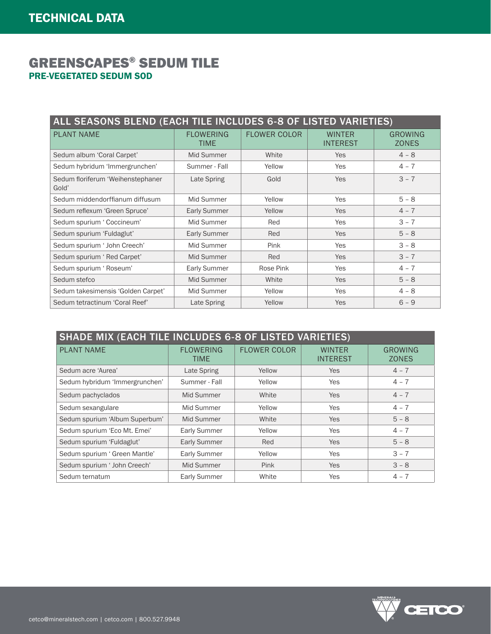## GREENSCAPES® SEDUM TILE PRE-VEGETATED SEDUM SOD

| ALL SEASONS BLEND (EACH TILE INCLUDES 6-8 OF LISTED VARIETIES) |                          |                     |                                  |                         |
|----------------------------------------------------------------|--------------------------|---------------------|----------------------------------|-------------------------|
| <b>PLANT NAME</b>                                              | <b>FLOWERING</b><br>TIME | <b>FLOWER COLOR</b> | <b>WINTER</b><br><b>INTEREST</b> | GROWING<br><b>ZONES</b> |
| Sedum album 'Coral Carpet'                                     | Mid Summer               | White               | Yes                              | $4 - 8$                 |
| Sedum hybridum 'Immergrunchen'                                 | Summer - Fall            | Yellow              | Yes                              | $4 - 7$                 |
| Sedum floriferum 'Weihenstephaner<br>Gold'                     | Late Spring              | Gold                | <b>Yes</b>                       | $3 - 7$                 |
| Sedum middendorffianum diffusum                                | Mid Summer               | Yellow              | Yes                              | $5 - 8$                 |
| Sedum reflexum 'Green Spruce'                                  | <b>Early Summer</b>      | Yellow              | Yes                              | $4 - 7$                 |
| Sedum spurium 'Coccineum'                                      | Mid Summer               | Red                 | Yes                              | $3 - 7$                 |
| Sedum spurium 'Fuldaglut'                                      | <b>Early Summer</b>      | Red                 | Yes                              | $5 - 8$                 |
| Sedum spurium ' John Creech'                                   | Mid Summer               | Pink                | Yes                              | $3 - 8$                 |
| Sedum spurium ' Red Carpet'                                    | Mid Summer               | Red                 | <b>Yes</b>                       | $3 - 7$                 |
| Sedum spurium ' Roseum'                                        | <b>Early Summer</b>      | Rose Pink           | Yes                              | $4 - 7$                 |
| Sedum stefco                                                   | Mid Summer               | White               | Yes                              | $5 - 8$                 |
| Sedum takesimensis 'Golden Carpet'                             | Mid Summer               | Yellow              | Yes                              | $4 - 8$                 |
| Sedum tetractinum 'Coral Reef'                                 | Late Spring              | Yellow              | Yes                              | $6 - 9$                 |

| <b>SHADE MIX (EACH TILE INCLUDES 6-8 OF LISTED VARIETIES)</b> |                          |                     |                                  |                                |
|---------------------------------------------------------------|--------------------------|---------------------|----------------------------------|--------------------------------|
| <b>PLANT NAME</b>                                             | <b>FLOWERING</b><br>TIME | <b>FLOWER COLOR</b> | <b>WINTER</b><br><b>INTEREST</b> | <b>GROWING</b><br><b>ZONES</b> |
| Sedum acre 'Aurea'                                            | Late Spring              | Yellow              | <b>Yes</b>                       | $4 - 7$                        |
| Sedum hybridum 'Immergrunchen'                                | Summer - Fall            | Yellow              | Yes                              | $4 - 7$                        |
| Sedum pachyclados                                             | Mid Summer               | White               | <b>Yes</b>                       | $4 - 7$                        |
| Sedum sexangulare                                             | Mid Summer               | Yellow              | <b>Yes</b>                       | $4 - 7$                        |
| Sedum spurium 'Album Superbum'                                | Mid Summer               | White               | <b>Yes</b>                       | $5 - 8$                        |
| Sedum spurium 'Eco Mt. Emei'                                  | Early Summer             | Yellow              | <b>Yes</b>                       | $4 - 7$                        |
| Sedum spurium 'Fuldaglut'                                     | <b>Early Summer</b>      | Red                 | <b>Yes</b>                       | $5 - 8$                        |
| Sedum spurium ' Green Mantle'                                 | Early Summer             | Yellow              | Yes                              | $3 - 7$                        |
| Sedum spurium ' John Creech'                                  | Mid Summer               | Pink                | <b>Yes</b>                       | $3 - 8$                        |
| Sedum ternatum                                                | <b>Early Summer</b>      | White               | Yes                              | $4 - 7$                        |